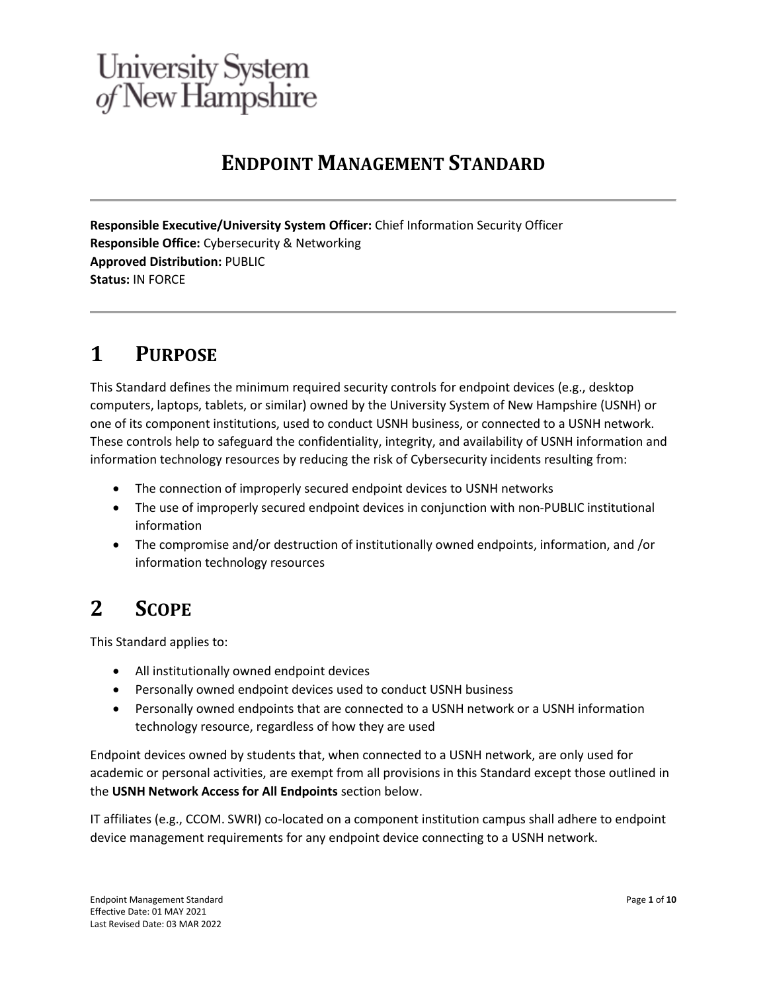# **ENDPOINT MANAGEMENT STANDARD**

**Responsible Executive/University System Officer:** Chief Information Security Officer **Responsible Office:** Cybersecurity & Networking **Approved Distribution:** PUBLIC **Status:** IN FORCE

# **1 PURPOSE**

This Standard defines the minimum required security controls for endpoint devices (e.g., desktop computers, laptops, tablets, or similar) owned by the University System of New Hampshire (USNH) or one of its component institutions, used to conduct USNH business, or connected to a USNH network. These controls help to safeguard the confidentiality, integrity, and availability of USNH information and information technology resources by reducing the risk of Cybersecurity incidents resulting from:

- The connection of improperly secured endpoint devices to USNH networks
- The use of improperly secured endpoint devices in conjunction with non-PUBLIC institutional information
- The compromise and/or destruction of institutionally owned endpoints, information, and /or information technology resources

# **2 SCOPE**

This Standard applies to:

- All institutionally owned endpoint devices
- Personally owned endpoint devices used to conduct USNH business
- Personally owned endpoints that are connected to a USNH network or a USNH information technology resource, regardless of how they are used

Endpoint devices owned by students that, when connected to a USNH network, are only used for academic or personal activities, are exempt from all provisions in this Standard except those outlined in the **USNH Network Access for All Endpoints** section below.

IT affiliates (e.g., CCOM. SWRI) co-located on a component institution campus shall adhere to endpoint device management requirements for any endpoint device connecting to a USNH network.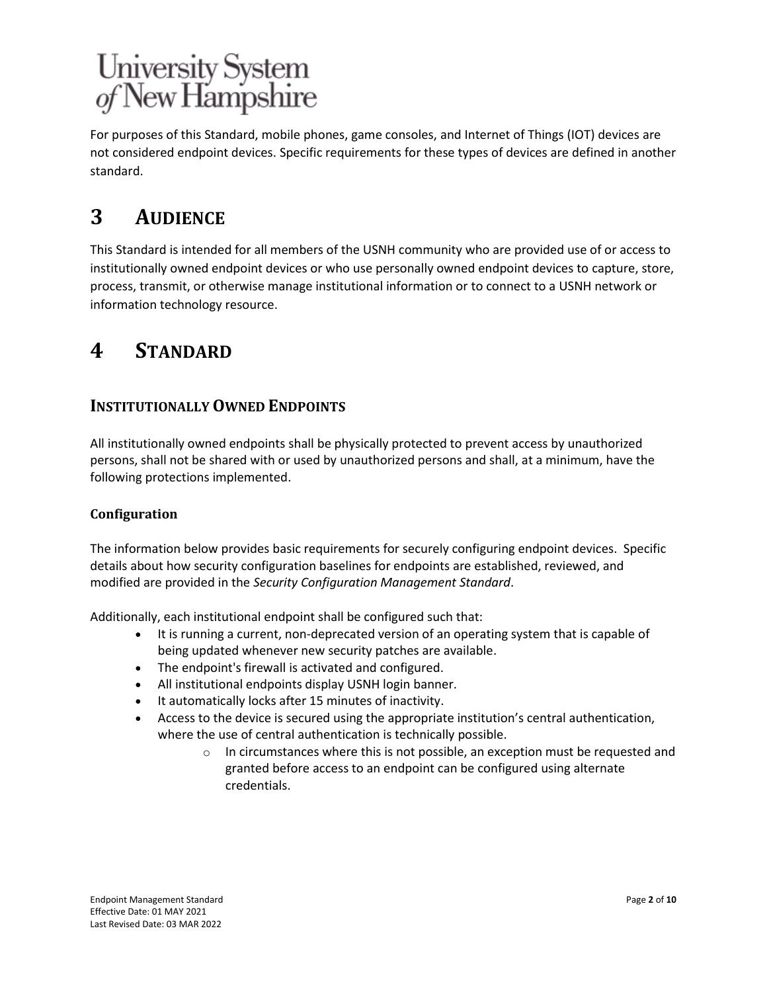For purposes of this Standard, mobile phones, game consoles, and Internet of Things (IOT) devices are not considered endpoint devices. Specific requirements for these types of devices are defined in another standard.

# **3 AUDIENCE**

This Standard is intended for all members of the USNH community who are provided use of or access to institutionally owned endpoint devices or who use personally owned endpoint devices to capture, store, process, transmit, or otherwise manage institutional information or to connect to a USNH network or information technology resource.

# **4 STANDARD**

## **INSTITUTIONALLY OWNED ENDPOINTS**

All institutionally owned endpoints shall be physically protected to prevent access by unauthorized persons, shall not be shared with or used by unauthorized persons and shall, at a minimum, have the following protections implemented.

## **Configuration**

The information below provides basic requirements for securely configuring endpoint devices. Specific details about how security configuration baselines for endpoints are established, reviewed, and modified are provided in the *Security Configuration Management Standard*.

Additionally, each institutional endpoint shall be configured such that:

- It is running a current, non-deprecated version of an operating system that is capable of being updated whenever new security patches are available.
- The endpoint's firewall is activated and configured.
- All institutional endpoints display USNH login banner.
- It automatically locks after 15 minutes of inactivity.
- Access to the device is secured using the appropriate institution's central authentication, where the use of central authentication is technically possible.
	- $\circ$  In circumstances where this is not possible, an exception must be requested and granted before access to an endpoint can be configured using alternate credentials.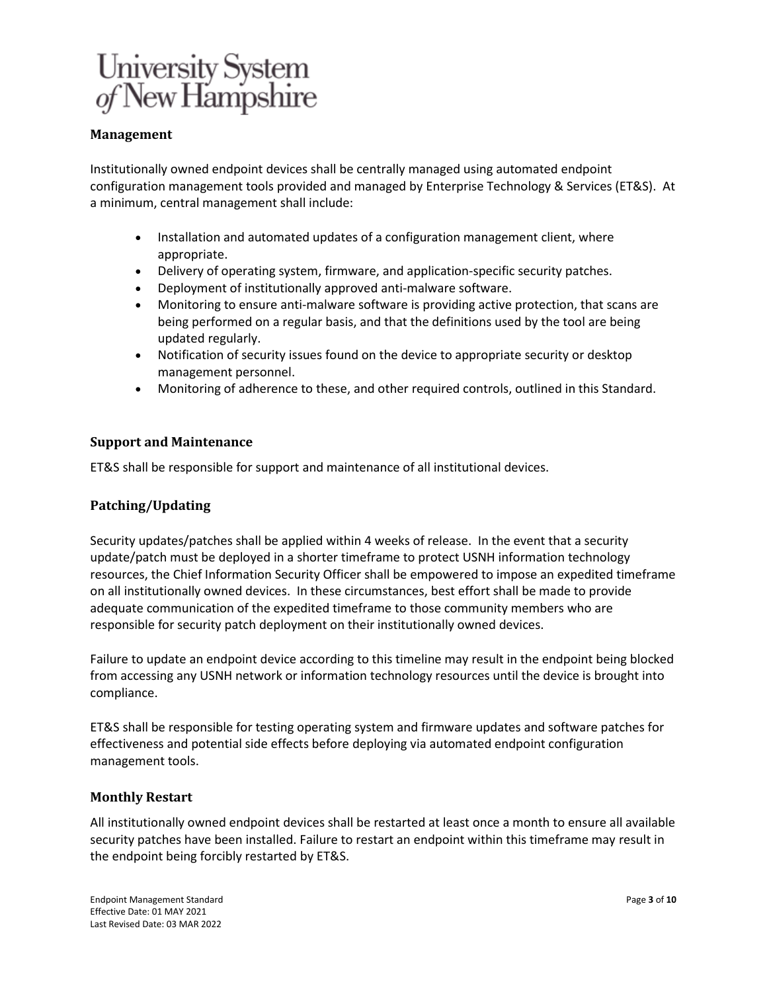## **Management**

Institutionally owned endpoint devices shall be centrally managed using automated endpoint configuration management tools provided and managed by Enterprise Technology & Services (ET&S). At a minimum, central management shall include:

- Installation and automated updates of a configuration management client, where appropriate.
- Delivery of operating system, firmware, and application-specific security patches.
- Deployment of institutionally approved anti-malware software.
- Monitoring to ensure anti-malware software is providing active protection, that scans are being performed on a regular basis, and that the definitions used by the tool are being updated regularly.
- Notification of security issues found on the device to appropriate security or desktop management personnel.
- Monitoring of adherence to these, and other required controls, outlined in this Standard.

### **Support and Maintenance**

ET&S shall be responsible for support and maintenance of all institutional devices.

### **Patching/Updating**

Security updates/patches shall be applied within 4 weeks of release. In the event that a security update/patch must be deployed in a shorter timeframe to protect USNH information technology resources, the Chief Information Security Officer shall be empowered to impose an expedited timeframe on all institutionally owned devices. In these circumstances, best effort shall be made to provide adequate communication of the expedited timeframe to those community members who are responsible for security patch deployment on their institutionally owned devices.

Failure to update an endpoint device according to this timeline may result in the endpoint being blocked from accessing any USNH network or information technology resources until the device is brought into compliance.

ET&S shall be responsible for testing operating system and firmware updates and software patches for effectiveness and potential side effects before deploying via automated endpoint configuration management tools.

### **Monthly Restart**

All institutionally owned endpoint devices shall be restarted at least once a month to ensure all available security patches have been installed. Failure to restart an endpoint within this timeframe may result in the endpoint being forcibly restarted by ET&S.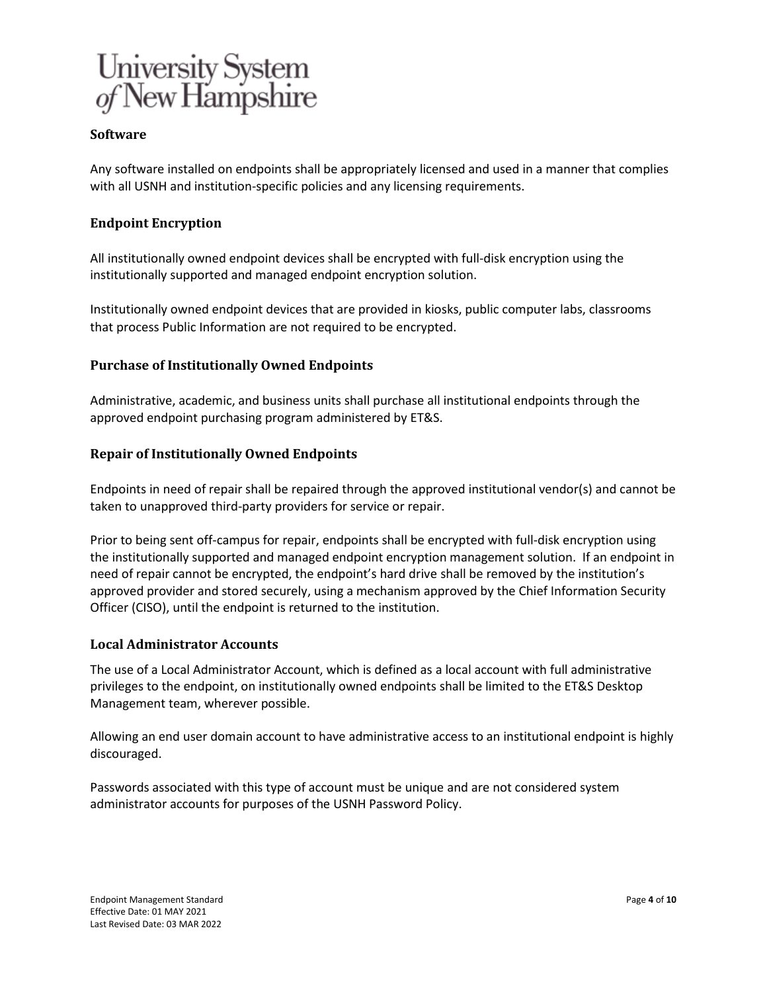

### **Software**

Any software installed on endpoints shall be appropriately licensed and used in a manner that complies with all USNH and institution-specific policies and any licensing requirements.

### **Endpoint Encryption**

All institutionally owned endpoint devices shall be encrypted with full-disk encryption using the institutionally supported and managed endpoint encryption solution.

Institutionally owned endpoint devices that are provided in kiosks, public computer labs, classrooms that process Public Information are not required to be encrypted.

### **Purchase of Institutionally Owned Endpoints**

Administrative, academic, and business units shall purchase all institutional endpoints through the approved endpoint purchasing program administered by ET&S.

### **Repair of Institutionally Owned Endpoints**

Endpoints in need of repair shall be repaired through the approved institutional vendor(s) and cannot be taken to unapproved third-party providers for service or repair.

Prior to being sent off-campus for repair, endpoints shall be encrypted with full-disk encryption using the institutionally supported and managed endpoint encryption management solution. If an endpoint in need of repair cannot be encrypted, the endpoint's hard drive shall be removed by the institution's approved provider and stored securely, using a mechanism approved by the Chief Information Security Officer (CISO), until the endpoint is returned to the institution.

### **Local Administrator Accounts**

The use of a Local Administrator Account, which is defined as a local account with full administrative privileges to the endpoint, on institutionally owned endpoints shall be limited to the ET&S Desktop Management team, wherever possible.

Allowing an end user domain account to have administrative access to an institutional endpoint is highly discouraged.

Passwords associated with this type of account must be unique and are not considered system administrator accounts for purposes of the USNH Password Policy.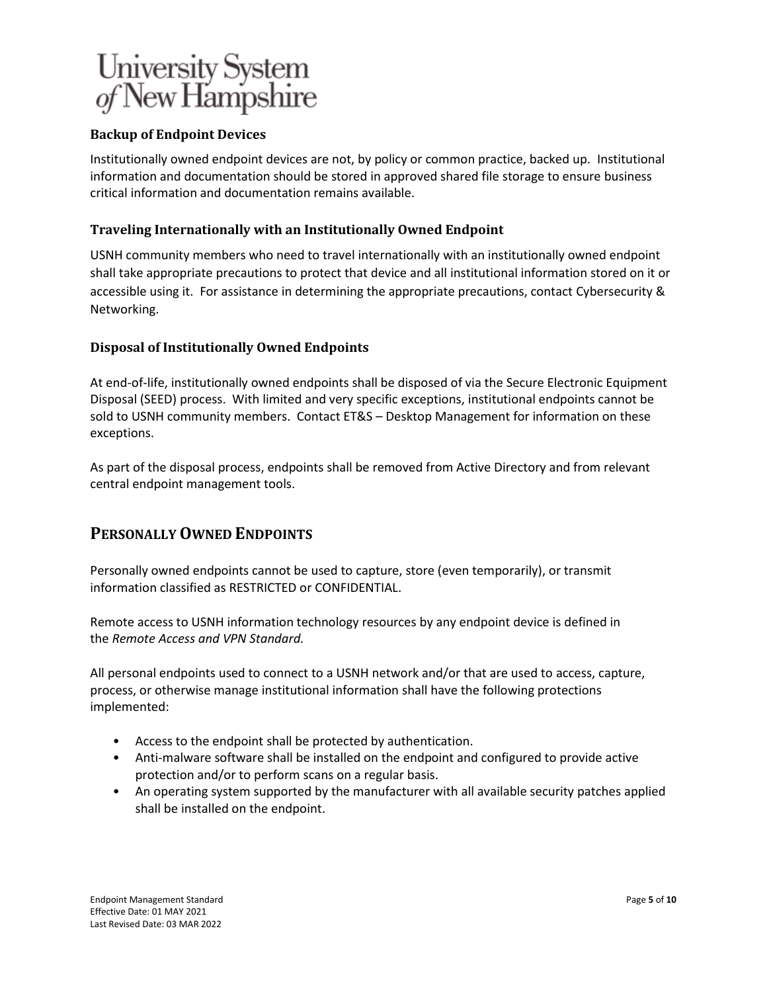## **Backup of Endpoint Devices**

Institutionally owned endpoint devices are not, by policy or common practice, backed up. Institutional information and documentation should be stored in approved shared file storage to ensure business critical information and documentation remains available.

## **Traveling Internationally with an Institutionally Owned Endpoint**

USNH community members who need to travel internationally with an institutionally owned endpoint shall take appropriate precautions to protect that device and all institutional information stored on it or accessible using it. For assistance in determining the appropriate precautions, contact Cybersecurity & Networking.

## **Disposal of Institutionally Owned Endpoints**

At end-of-life, institutionally owned endpoints shall be disposed of via the Secure Electronic Equipment Disposal (SEED) process. With limited and very specific exceptions, institutional endpoints cannot be sold to USNH community members. Contact ET&S – Desktop Management for information on these exceptions.

As part of the disposal process, endpoints shall be removed from Active Directory and from relevant central endpoint management tools.

## **PERSONALLY OWNED ENDPOINTS**

Personally owned endpoints cannot be used to capture, store (even temporarily), or transmit information classified as RESTRICTED or CONFIDENTIAL.

Remote access to USNH information technology resources by any endpoint device is defined in the *Remote Access and VPN Standard.*

All personal endpoints used to connect to a USNH network and/or that are used to access, capture, process, or otherwise manage institutional information shall have the following protections implemented:

- Access to the endpoint shall be protected by authentication.
- Anti-malware software shall be installed on the endpoint and configured to provide active protection and/or to perform scans on a regular basis.
- An operating system supported by the manufacturer with all available security patches applied shall be installed on the endpoint.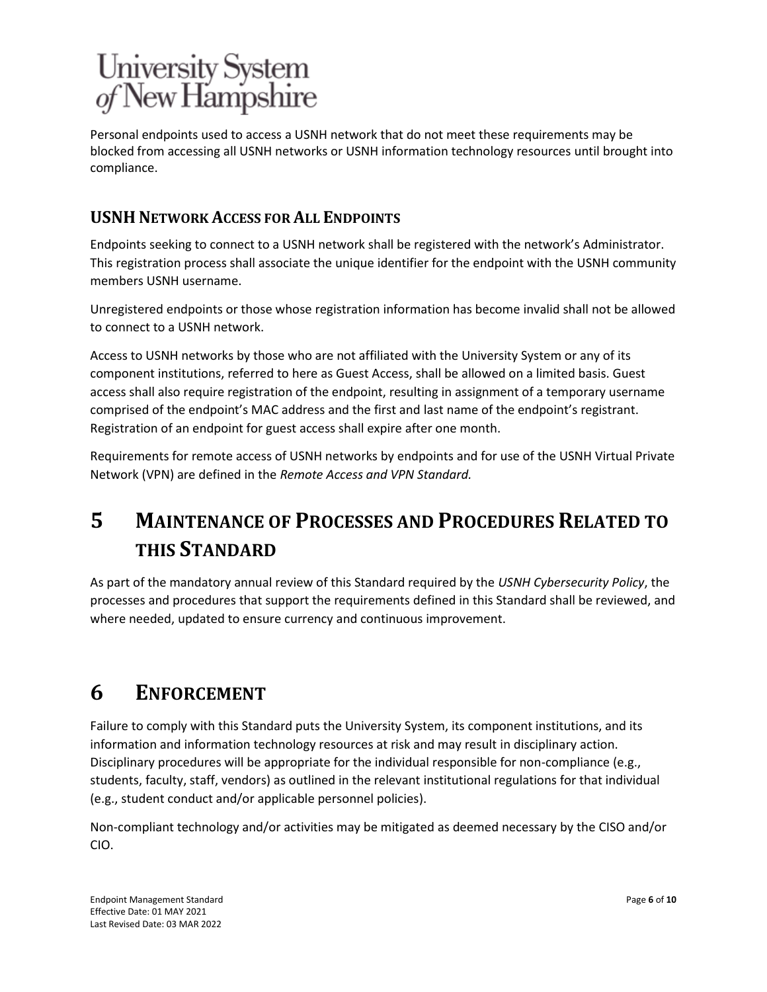Personal endpoints used to access a USNH network that do not meet these requirements may be blocked from accessing all USNH networks or USNH information technology resources until brought into compliance.

## **USNH NETWORK ACCESS FOR ALL ENDPOINTS**

Endpoints seeking to connect to a USNH network shall be registered with the network's Administrator. This registration process shall associate the unique identifier for the endpoint with the USNH community members USNH username.

Unregistered endpoints or those whose registration information has become invalid shall not be allowed to connect to a USNH network.

Access to USNH networks by those who are not affiliated with the University System or any of its component institutions, referred to here as Guest Access, shall be allowed on a limited basis. Guest access shall also require registration of the endpoint, resulting in assignment of a temporary username comprised of the endpoint's MAC address and the first and last name of the endpoint's registrant. Registration of an endpoint for guest access shall expire after one month.

Requirements for remote access of USNH networks by endpoints and for use of the USNH Virtual Private Network (VPN) are defined in the *Remote Access and VPN Standard.*

# **5 MAINTENANCE OF PROCESSES AND PROCEDURES RELATED TO THIS STANDARD**

As part of the mandatory annual review of this Standard required by the *USNH Cybersecurity Policy*, the processes and procedures that support the requirements defined in this Standard shall be reviewed, and where needed, updated to ensure currency and continuous improvement.

# **6 ENFORCEMENT**

Failure to comply with this Standard puts the University System, its component institutions, and its information and information technology resources at risk and may result in disciplinary action. Disciplinary procedures will be appropriate for the individual responsible for non-compliance (e.g., students, faculty, staff, vendors) as outlined in the relevant institutional regulations for that individual (e.g., student conduct and/or applicable personnel policies).

Non-compliant technology and/or activities may be mitigated as deemed necessary by the CISO and/or CIO.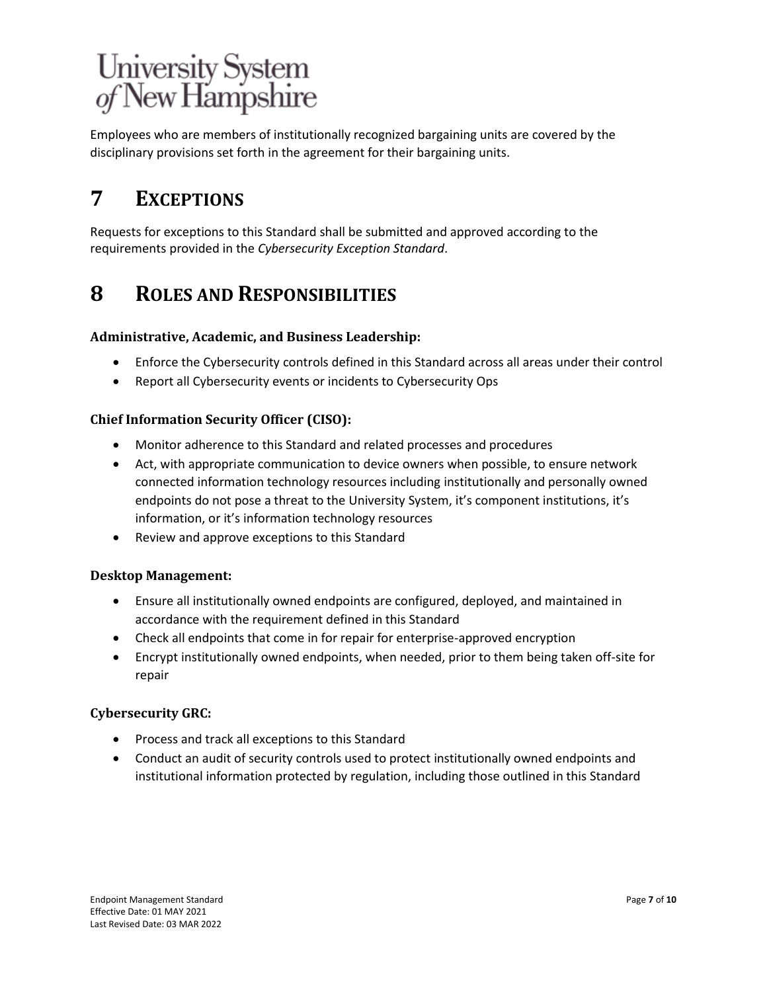Employees who are members of institutionally recognized bargaining units are covered by the disciplinary provisions set forth in the agreement for their bargaining units.

# **7 EXCEPTIONS**

Requests for exceptions to this Standard shall be submitted and approved according to the requirements provided in the *Cybersecurity Exception Standard*.

# **8 ROLES AND RESPONSIBILITIES**

## **Administrative, Academic, and Business Leadership:**

- Enforce the Cybersecurity controls defined in this Standard across all areas under their control
- Report all Cybersecurity events or incidents to Cybersecurity Ops

## **Chief Information Security Officer (CISO):**

- Monitor adherence to this Standard and related processes and procedures
- Act, with appropriate communication to device owners when possible, to ensure network connected information technology resources including institutionally and personally owned endpoints do not pose a threat to the University System, it's component institutions, it's information, or it's information technology resources
- Review and approve exceptions to this Standard

## **Desktop Management:**

- Ensure all institutionally owned endpoints are configured, deployed, and maintained in accordance with the requirement defined in this Standard
- Check all endpoints that come in for repair for enterprise-approved encryption
- Encrypt institutionally owned endpoints, when needed, prior to them being taken off-site for repair

## **Cybersecurity GRC:**

- Process and track all exceptions to this Standard
- Conduct an audit of security controls used to protect institutionally owned endpoints and institutional information protected by regulation, including those outlined in this Standard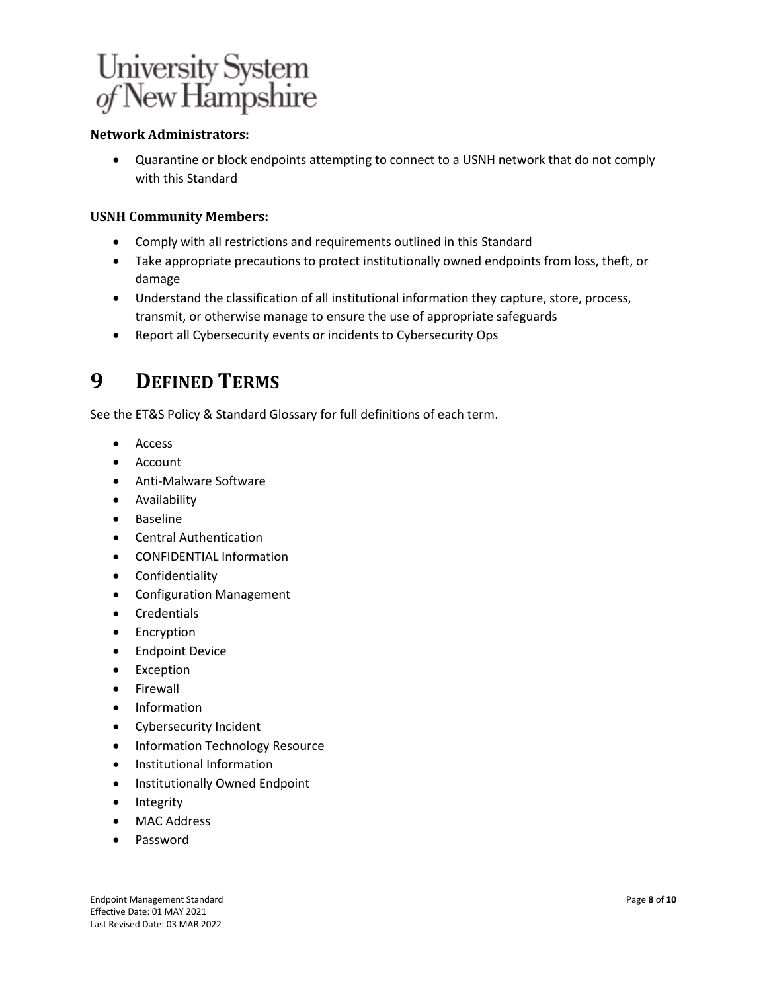

### **Network Administrators:**

• Quarantine or block endpoints attempting to connect to a USNH network that do not comply with this Standard

#### **USNH Community Members:**

- Comply with all restrictions and requirements outlined in this Standard
- Take appropriate precautions to protect institutionally owned endpoints from loss, theft, or damage
- Understand the classification of all institutional information they capture, store, process, transmit, or otherwise manage to ensure the use of appropriate safeguards
- Report all Cybersecurity events or incidents to Cybersecurity Ops

# **9 DEFINED TERMS**

See the ET&S Policy & Standard Glossary for full definitions of each term.

- Access
- **Account**
- Anti-Malware Software
- Availability
- Baseline
- Central Authentication
- CONFIDENTIAL Information
- Confidentiality
- Configuration Management
- Credentials
- Encryption
- Endpoint Device
- Exception
- Firewall
- Information
- Cybersecurity Incident
- Information Technology Resource
- Institutional Information
- Institutionally Owned Endpoint
- Integrity
- MAC Address
- Password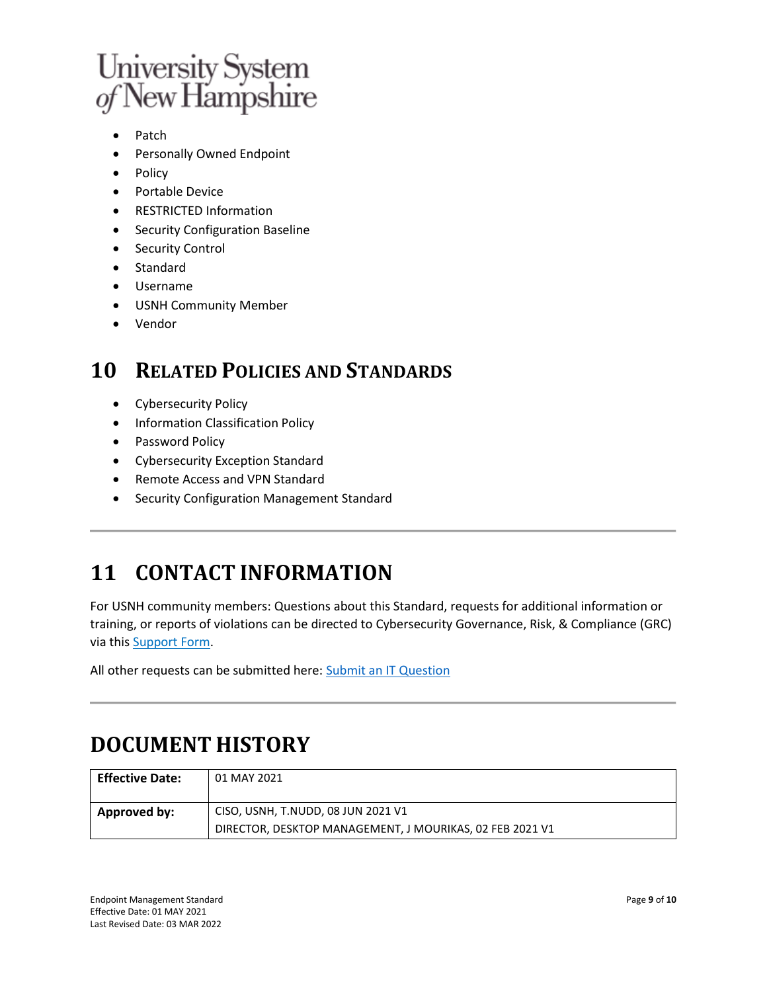

- Patch
- Personally Owned Endpoint
- Policy
- Portable Device
- RESTRICTED Information
- Security Configuration Baseline
- Security Control
- Standard
- Username
- USNH Community Member
- Vendor

## **10 RELATED POLICIES AND STANDARDS**

- Cybersecurity Policy
- Information Classification Policy
- Password Policy
- Cybersecurity Exception Standard
- Remote Access and VPN Standard
- Security Configuration Management Standard

# **11 CONTACT INFORMATION**

For USNH community members: Questions about this Standard, requests for additional information or training, or reports of violations can be directed to Cybersecurity Governance, Risk, & Compliance (GRC) via this [Support Form.](https://td.unh.edu/TDClient/60/Portal/Requests/ServiceDet.aspx?ID=499)

All other requests can be submitted here: [Submit an IT Question](https://td.unh.edu/TDClient/Requests/TicketRequests/NewForm?ID=ne440qM8v2g_)

# **DOCUMENT HISTORY**

| <b>Effective Date:</b> | 01 MAY 2021                                              |
|------------------------|----------------------------------------------------------|
| ' Approved by:         | CISO, USNH, T.NUDD, 08 JUN 2021 V1                       |
|                        | DIRECTOR, DESKTOP MANAGEMENT, J MOURIKAS, 02 FEB 2021 V1 |